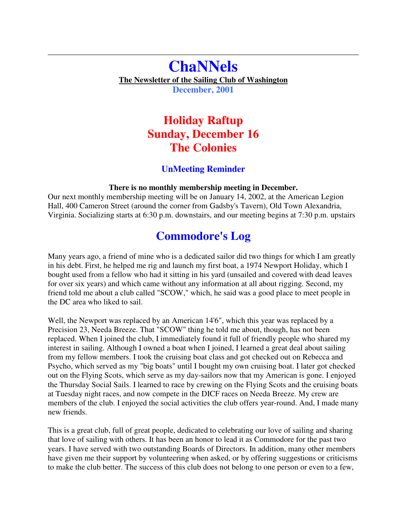## **ChaNNels The Newsletter of the Sailing Club of Washington December, 2001**

# **Holiday Raftup Sunday, December 16 The Colonies**

### **UnMeeting Reminder**

#### **There is no monthly membership meeting in December.**

Our next monthly membership meeting will be on January 14, 2002, at the American Legion Hall, 400 Cameron Street (around the corner from Gadsby's Tavern), Old Town Alexandria, Virginia. Socializing starts at 6:30 p.m. downstairs, and our meeting begins at 7:30 p.m. upstairs

# **Commodore's Log**

Many years ago, a friend of mine who is a dedicated sailor did two things for which I am greatly in his debt. First, he helped me rig and launch my first boat, a 1974 Newport Holiday, which I bought used from a fellow who had it sitting in his yard (unsailed and covered with dead leaves for over six years) and which came without any information at all about rigging. Second, my friend told me about a club called "SCOW," which, he said was a good place to meet people in the DC area who liked to sail.

Well, the Newport was replaced by an American 14'6", which this year was replaced by a Precision 23, Needa Breeze. That "SCOW" thing he told me about, though, has not been replaced. When I joined the club, I immediately found it full of friendly people who shared my interest in sailing. Although I owned a boat when I joined, I learned a great deal about sailing from my fellow members. I took the cruising boat class and got checked out on Rebecca and Psycho, which served as my "big boats" until I bought my own cruising boat. I later got checked out on the Flying Scots, which serve as my day-sailors now that my American is gone. I enjoyed the Thursday Social Sails. I learned to race by crewing on the Flying Scots and the cruising boats at Tuesday night races, and now compete in the DICF races on Needa Breeze. My crew are members of the club. I enjoyed the social activities the club offers year-round. And, I made many new friends.

This is a great club, full of great people, dedicated to celebrating our love of sailing and sharing that love of sailing with others. It has been an honor to lead it as Commodore for the past two years. I have served with two outstanding Boards of Directors. In addition, many other members have given me their support by volunteering when asked, or by offering suggestions or criticisms to make the club better. The success of this club does not belong to one person or even to a few,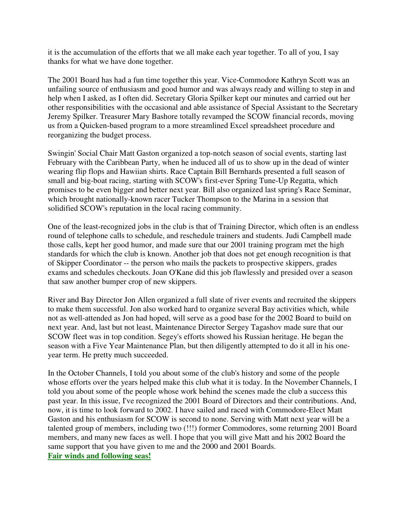it is the accumulation of the efforts that we all make each year together. To all of you, I say thanks for what we have done together.

The 2001 Board has had a fun time together this year. Vice-Commodore Kathryn Scott was an unfailing source of enthusiasm and good humor and was always ready and willing to step in and help when I asked, as I often did. Secretary Gloria Spilker kept our minutes and carried out her other responsibilities with the occasional and able assistance of Special Assistant to the Secretary Jeremy Spilker. Treasurer Mary Bashore totally revamped the SCOW financial records, moving us from a Quicken-based program to a more streamlined Excel spreadsheet procedure and reorganizing the budget process.

Swingin' Social Chair Matt Gaston organized a top-notch season of social events, starting last February with the Caribbean Party, when he induced all of us to show up in the dead of winter wearing flip flops and Hawiian shirts. Race Captain Bill Bernhards presented a full season of small and big-boat racing, starting with SCOW's first-ever Spring Tune-Up Regatta, which promises to be even bigger and better next year. Bill also organized last spring's Race Seminar, which brought nationally-known racer Tucker Thompson to the Marina in a session that solidified SCOW's reputation in the local racing community.

One of the least-recognized jobs in the club is that of Training Director, which often is an endless round of telephone calls to schedule, and reschedule trainers and students. Judi Campbell made those calls, kept her good humor, and made sure that our 2001 training program met the high standards for which the club is known. Another job that does not get enough recognition is that of Skipper Coordinator -- the person who mails the packets to prospective skippers, grades exams and schedules checkouts. Joan O'Kane did this job flawlessly and presided over a season that saw another bumper crop of new skippers.

River and Bay Director Jon Allen organized a full slate of river events and recruited the skippers to make them successful. Jon also worked hard to organize several Bay activities which, while not as well-attended as Jon had hoped, will serve as a good base for the 2002 Board to build on next year. And, last but not least, Maintenance Director Sergey Tagashov made sure that our SCOW fleet was in top condition. Segey's efforts showed his Russian heritage. He began the season with a Five Year Maintenance Plan, but then diligently attempted to do it all in his oneyear term. He pretty much succeeded.

In the October Channels, I told you about some of the club's history and some of the people whose efforts over the years helped make this club what it is today. In the November Channels, I told you about some of the people whose work behind the scenes made the club a success this past year. In this issue, I've recognized the 2001 Board of Directors and their contributions. And, now, it is time to look forward to 2002. I have sailed and raced with Commodore-Elect Matt Gaston and his enthusiasm for SCOW is second to none. Serving with Matt next year will be a talented group of members, including two (!!!) former Commodores, some returning 2001 Board members, and many new faces as well. I hope that you will give Matt and his 2002 Board the same support that you have given to me and the 2000 and 2001 Boards. **Fair winds and following seas!**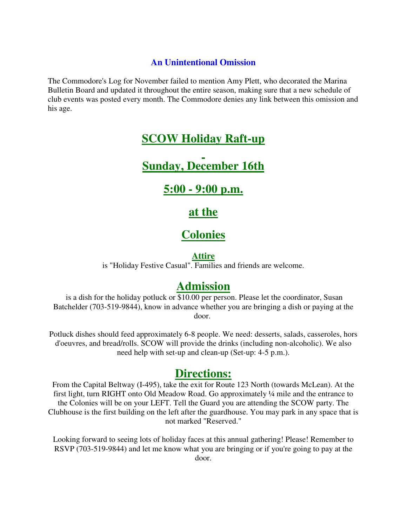### **An Unintentional Omission**

The Commodore's Log for November failed to mention Amy Plett, who decorated the Marina Bulletin Board and updated it throughout the entire season, making sure that a new schedule of club events was posted every month. The Commodore denies any link between this omission and his age.

## **SCOW Holiday Raft-up**

**Sunday, December 16th**

**5:00 - 9:00 p.m.**

**at the**

# **Colonies**

#### **Attire**

is "Holiday Festive Casual". Families and friends are welcome.

## **Admission**

is a dish for the holiday potluck or \$10.00 per person. Please let the coordinator, Susan Batchelder (703-519-9844), know in advance whether you are bringing a dish or paying at the door.

Potluck dishes should feed approximately 6-8 people. We need: desserts, salads, casseroles, hors d'oeuvres, and bread/rolls. SCOW will provide the drinks (including non-alcoholic). We also need help with set-up and clean-up (Set-up: 4-5 p.m.).

### **Directions:**

From the Capital Beltway (I-495), take the exit for Route 123 North (towards McLean). At the first light, turn RIGHT onto Old Meadow Road. Go approximately ¼ mile and the entrance to the Colonies will be on your LEFT. Tell the Guard you are attending the SCOW party. The Clubhouse is the first building on the left after the guardhouse. You may park in any space that is not marked "Reserved."

Looking forward to seeing lots of holiday faces at this annual gathering! Please! Remember to RSVP (703-519-9844) and let me know what you are bringing or if you're going to pay at the door.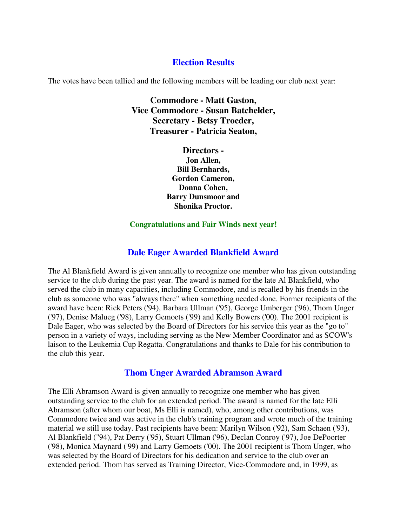### **Election Results**

The votes have been tallied and the following members will be leading our club next year:

**Commodore - Matt Gaston, Vice Commodore - Susan Batchelder, Secretary - Betsy Troeder, Treasurer - Patricia Seaton,**

> **Directors - Jon Allen, Bill Bernhards, Gordon Cameron, Donna Cohen, Barry Dunsmoor and Shonika Proctor.**

#### **Congratulations and Fair Winds next year!**

#### **Dale Eager Awarded Blankfield Award**

The Al Blankfield Award is given annually to recognize one member who has given outstanding service to the club during the past year. The award is named for the late Al Blankfield, who served the club in many capacities, including Commodore, and is recalled by his friends in the club as someone who was "always there" when something needed done. Former recipients of the award have been: Rick Peters ('94), Barbara Ullman ('95), George Umberger ('96), Thom Unger ('97), Denise Malueg ('98), Larry Gemoets ('99) and Kelly Bowers ('00). The 2001 recipient is Dale Eager, who was selected by the Board of Directors for his service this year as the "go to" person in a variety of ways, including serving as the New Member Coordinator and as SCOW's laison to the Leukemia Cup Regatta. Congratulations and thanks to Dale for his contribution to the club this year.

#### **Thom Unger Awarded Abramson Award**

The Elli Abramson Award is given annually to recognize one member who has given outstanding service to the club for an extended period. The award is named for the late Elli Abramson (after whom our boat, Ms Elli is named), who, among other contributions, was Commodore twice and was active in the club's training program and wrote much of the training material we still use today. Past recipients have been: Marilyn Wilson ('92), Sam Schaen ('93), Al Blankfield ("94), Pat Derry ('95), Stuart Ullman ('96), Declan Conroy ('97), Joe DePoorter ('98), Monica Maynard ('99) and Larry Gemoets ('00). The 2001 recipient is Thom Unger, who was selected by the Board of Directors for his dedication and service to the club over an extended period. Thom has served as Training Director, Vice-Commodore and, in 1999, as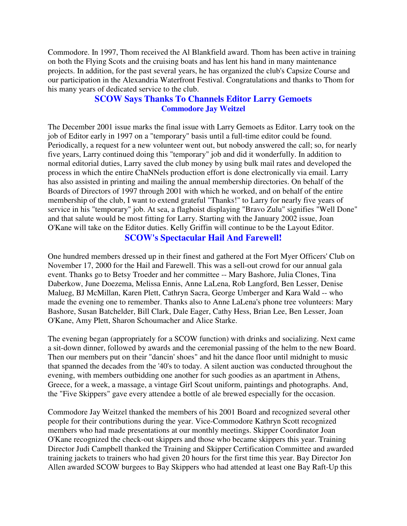Commodore. In 1997, Thom received the Al Blankfield award. Thom has been active in training on both the Flying Scots and the cruising boats and has lent his hand in many maintenance projects. In addition, for the past several years, he has organized the club's Capsize Course and our participation in the Alexandria Waterfront Festival. Congratulations and thanks to Thom for his many years of dedicated service to the club.

#### **SCOW Says Thanks To Channels Editor Larry Gemoets Commodore Jay Weitzel**

The December 2001 issue marks the final issue with Larry Gemoets as Editor. Larry took on the job of Editor early in 1997 on a "temporary" basis until a full-time editor could be found. Periodically, a request for a new volunteer went out, but nobody answered the call; so, for nearly five years, Larry continued doing this "temporary" job and did it wonderfully. In addition to normal editorial duties, Larry saved the club money by using bulk mail rates and developed the process in which the entire ChaNNels production effort is done electronically via email. Larry has also assisted in printing and mailing the annual membership directories. On behalf of the Boards of Directors of 1997 through 2001 with which he worked, and on behalf of the entire membership of the club, I want to extend grateful "Thanks!" to Larry for nearly five years of service in his "temporary" job. At sea, a flaghoist displaying "Bravo Zulu" signifies "Well Done" and that salute would be most fitting for Larry. Starting with the January 2002 issue, Joan O'Kane will take on the Editor duties. Kelly Griffin will continue to be the Layout Editor.

#### **SCOW's Spectacular Hail And Farewell!**

One hundred members dressed up in their finest and gathered at the Fort Myer Officers' Club on November 17, 2000 for the Hail and Farewell. This was a sell-out crowd for our annual gala event. Thanks go to Betsy Troeder and her committee -- Mary Bashore, Julia Clones, Tina Daberkow, June Doezema, Melissa Ennis, Anne LaLena, Rob Langford, Ben Lesser, Denise Malueg, BJ McMillan, Karen Plett, Cathryn Sacra, George Umberger and Kara Wald -- who made the evening one to remember. Thanks also to Anne LaLena's phone tree volunteers: Mary Bashore, Susan Batchelder, Bill Clark, Dale Eager, Cathy Hess, Brian Lee, Ben Lesser, Joan O'Kane, Amy Plett, Sharon Schoumacher and Alice Starke.

The evening began (appropriately for a SCOW function) with drinks and socializing. Next came a sit-down dinner, followed by awards and the ceremonial passing of the helm to the new Board. Then our members put on their "dancin' shoes" and hit the dance floor until midnight to music that spanned the decades from the '40's to today. A silent auction was conducted throughout the evening, with members outbidding one another for such goodies as an apartment in Athens, Greece, for a week, a massage, a vintage Girl Scout uniform, paintings and photographs. And, the "Five Skippers" gave every attendee a bottle of ale brewed especially for the occasion.

Commodore Jay Weitzel thanked the members of his 2001 Board and recognized several other people for their contributions during the year. Vice-Commodore Kathryn Scott recognized members who had made presentations at our monthly meetings. Skipper Coordinator Joan O'Kane recognized the check-out skippers and those who became skippers this year. Training Director Judi Campbell thanked the Training and Skipper Certification Committee and awarded training jackets to trainers who had given 20 hours for the first time this year. Bay Director Jon Allen awarded SCOW burgees to Bay Skippers who had attended at least one Bay Raft-Up this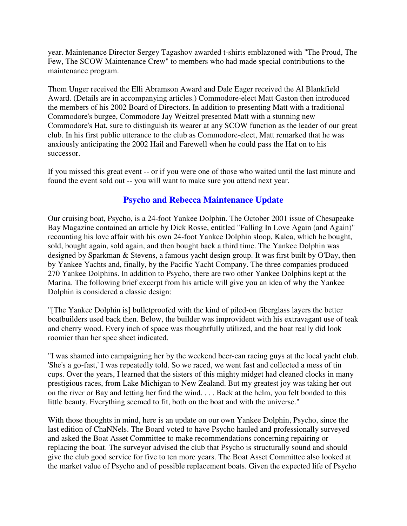year. Maintenance Director Sergey Tagashov awarded t-shirts emblazoned with "The Proud, The Few, The SCOW Maintenance Crew" to members who had made special contributions to the maintenance program.

Thom Unger received the Elli Abramson Award and Dale Eager received the Al Blankfield Award. (Details are in accompanying articles.) Commodore-elect Matt Gaston then introduced the members of his 2002 Board of Directors. In addition to presenting Matt with a traditional Commodore's burgee, Commodore Jay Weitzel presented Matt with a stunning new Commodore's Hat, sure to distinguish its wearer at any SCOW function as the leader of our great club. In his first public utterance to the club as Commodore-elect, Matt remarked that he was anxiously anticipating the 2002 Hail and Farewell when he could pass the Hat on to his successor.

If you missed this great event -- or if you were one of those who waited until the last minute and found the event sold out -- you will want to make sure you attend next year.

### **Psycho and Rebecca Maintenance Update**

Our cruising boat, Psycho, is a 24-foot Yankee Dolphin. The October 2001 issue of Chesapeake Bay Magazine contained an article by Dick Rosse, entitled "Falling In Love Again (and Again)" recounting his love affair with his own 24-foot Yankee Dolphin sloop, Kalea, which he bought, sold, bought again, sold again, and then bought back a third time. The Yankee Dolphin was designed by Sparkman & Stevens, a famous yacht design group. It was first built by O'Day, then by Yankee Yachts and, finally, by the Pacific Yacht Company. The three companies produced 270 Yankee Dolphins. In addition to Psycho, there are two other Yankee Dolphins kept at the Marina. The following brief excerpt from his article will give you an idea of why the Yankee Dolphin is considered a classic design:

"[The Yankee Dolphin is] bulletproofed with the kind of piled-on fiberglass layers the better boatbuilders used back then. Below, the builder was improvident with his extravagant use of teak and cherry wood. Every inch of space was thoughtfully utilized, and the boat really did look roomier than her spec sheet indicated.

"I was shamed into campaigning her by the weekend beer-can racing guys at the local yacht club. 'She's a go-fast,' I was repeatedly told. So we raced, we went fast and collected a mess of tin cups. Over the years, I learned that the sisters of this mighty midget had cleaned clocks in many prestigious races, from Lake Michigan to New Zealand. But my greatest joy was taking her out on the river or Bay and letting her find the wind. . . . Back at the helm, you felt bonded to this little beauty. Everything seemed to fit, both on the boat and with the universe."

With those thoughts in mind, here is an update on our own Yankee Dolphin, Psycho, since the last edition of ChaNNels. The Board voted to have Psycho hauled and professionally surveyed and asked the Boat Asset Committee to make recommendations concerning repairing or replacing the boat. The surveyor advised the club that Psycho is structurally sound and should give the club good service for five to ten more years. The Boat Asset Committee also looked at the market value of Psycho and of possible replacement boats. Given the expected life of Psycho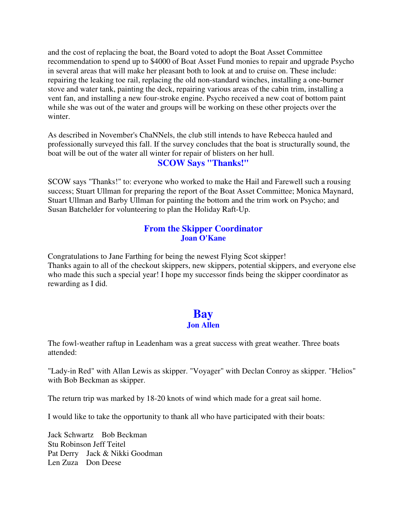and the cost of replacing the boat, the Board voted to adopt the Boat Asset Committee recommendation to spend up to \$4000 of Boat Asset Fund monies to repair and upgrade Psycho in several areas that will make her pleasant both to look at and to cruise on. These include: repairing the leaking toe rail, replacing the old non-standard winches, installing a one-burner stove and water tank, painting the deck, repairing various areas of the cabin trim, installing a vent fan, and installing a new four-stroke engine. Psycho received a new coat of bottom paint while she was out of the water and groups will be working on these other projects over the winter.

As described in November's ChaNNels, the club still intends to have Rebecca hauled and professionally surveyed this fall. If the survey concludes that the boat is structurally sound, the boat will be out of the water all winter for repair of blisters on her hull.

### **SCOW Says "Thanks!"**

SCOW says "Thanks!" to: everyone who worked to make the Hail and Farewell such a rousing success; Stuart Ullman for preparing the report of the Boat Asset Committee; Monica Maynard, Stuart Ullman and Barby Ullman for painting the bottom and the trim work on Psycho; and Susan Batchelder for volunteering to plan the Holiday Raft-Up.

#### **From the Skipper Coordinator Joan O'Kane**

Congratulations to Jane Farthing for being the newest Flying Scot skipper! Thanks again to all of the checkout skippers, new skippers, potential skippers, and everyone else who made this such a special year! I hope my successor finds being the skipper coordinator as rewarding as I did.

### **Bay Jon Allen**

The fowl-weather raftup in Leadenham was a great success with great weather. Three boats attended:

"Lady-in Red" with Allan Lewis as skipper. "Voyager" with Declan Conroy as skipper. "Helios" with Bob Beckman as skipper.

The return trip was marked by 18-20 knots of wind which made for a great sail home.

I would like to take the opportunity to thank all who have participated with their boats:

Jack Schwartz Bob Beckman Stu Robinson Jeff Teitel Pat Derry Jack & Nikki Goodman Len Zuza Don Deese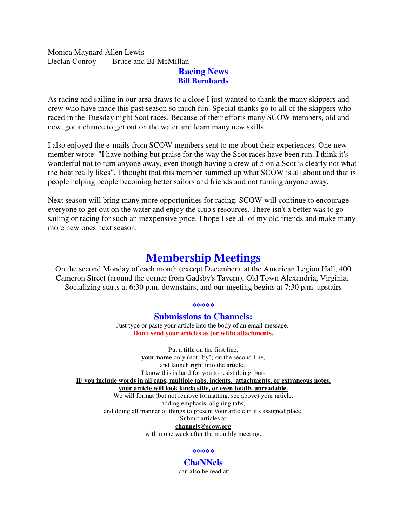#### Monica Maynard Allen Lewis Declan Conroy Bruce and BJ McMillan

#### **Racing News Bill Bernhards**

As racing and sailing in our area draws to a close I just wanted to thank the many skippers and crew who have made this past season so much fun. Special thanks go to all of the skippers who raced in the Tuesday night Scot races. Because of their efforts many SCOW members, old and new, got a chance to get out on the water and learn many new skills.

I also enjoyed the e-mails from SCOW members sent to me about their experiences. One new member wrote: "I have nothing but praise for the way the Scot races have been run. I think it's wonderful not to turn anyone away, even though having a crew of 5 on a Scot is clearly not what the boat really likes". I thought that this member summed up what SCOW is all about and that is people helping people becoming better sailors and friends and not turning anyone away.

Next season will bring many more opportunities for racing. SCOW will continue to encourage everyone to get out on the water and enjoy the club's resources. There isn't a better was to go sailing or racing for such an inexpensive price. I hope I see all of my old friends and make many more new ones next season.

# **Membership Meetings**

On the second Monday of each month (except December) at the American Legion Hall, 400 Cameron Street (around the corner from Gadsby's Tavern), Old Town Alexandria, Virginia. Socializing starts at 6:30 p.m. downstairs, and our meeting begins at 7:30 p.m. upstairs

#### **\*\*\*\*\***

#### **Submissions to Channels:**

Just type or paste your article into the body of an email message. **Don't send your articles as (or with) attachments.**

Put a **title** on the first line, **your name** only (not "by") on the second line, and launch right into the article. I know this is hard for you to resist doing, but-**IF you include words in all caps, multiple tabs, indents, attachments, or extraneous notes, your article will look kinda silly, or even totally unreadable.** We will format (but not remove formatting, see above) your article, adding emphasis, aligning tabs,

and doing all manner of things to present your article in it's assigned place.

Submit articles to **channels@scow.org**

within one week after the monthly meeting.

#### **\*\*\*\*\***

# **ChaNNels**

can also be read at: